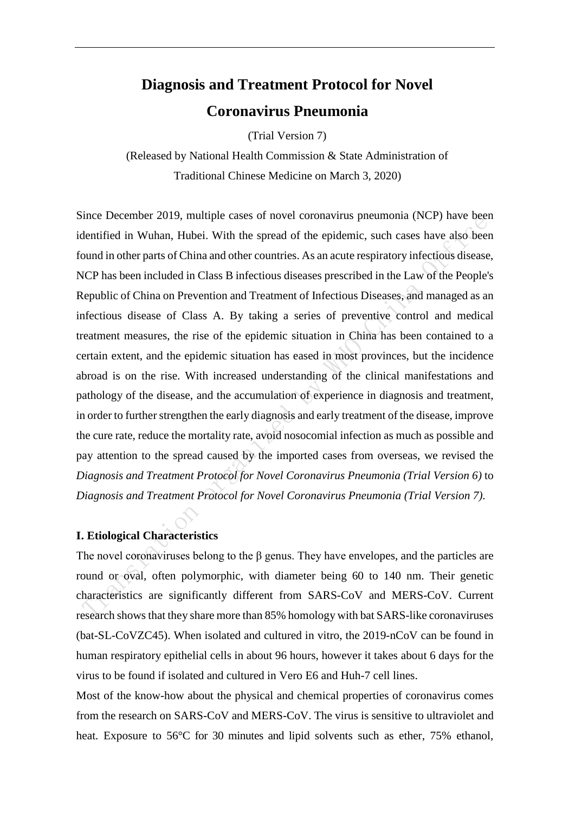# **Diagnosis and Treatment Protocol for Novel Coronavirus Pneumonia**

(Trial Version 7)

(Released by National Health Commission & State Administration of Traditional Chinese Medicine on March 3, 2020)

Since December 2019, multiple cases of novel coronavirus pneumonia (NCP) have been identified in Wuhan, Hubei. With the spread of the epidemic, such cases have also been found in other parts of China and other countries. As an acute respiratory infectious disease, NCP has been included in Class B infectious diseases prescribed in the Law of the People's Republic of China on Prevention and Treatment of Infectious Diseases, and managed as an infectious disease of Class A. By taking a series of preventive control and medical treatment measures, the rise of the epidemic situation in China has been contained to a certain extent, and the epidemic situation has eased in most provinces, but the incidence abroad is on the rise. With increased understanding of the clinical manifestations and pathology of the disease, and the accumulation of experience in diagnosis and treatment, in order to further strengthen the early diagnosis and early treatment of the disease, improve the cure rate, reduce the mortality rate, avoid nosocomial infection as much as possible and pay attention to the spread caused by the imported cases from overseas, we revised the *Diagnosis and Treatment Protocol for Novel Coronavirus Pneumonia (Trial Version 6)* to *Diagnosis and Treatment Protocol for Novel Coronavirus Pneumonia (Trial Version 7)*.

# **I. Etiological Characteristics**

The novel coronaviruses belong to the  $\beta$  genus. They have envelopes, and the particles are round or oval, often polymorphic, with diameter being 60 to 140 nm. Their genetic characteristics are significantly different from SARS-CoV and MERS-CoV. Current research shows that they share more than 85% homology with bat SARS-like coronaviruses (bat-SL-CoVZC45). When isolated and cultured in vitro, the 2019-nCoV can be found in human respiratory epithelial cells in about 96 hours, however it takes about 6 days for the virus to be found if isolated and cultured in Vero E6 and Huh-7 cell lines.

Most of the know-how about the physical and chemical properties of coronavirus comes from the research on SARS-CoV and MERS-CoV. The virus is sensitive to ultraviolet and heat. Exposure to 56°C for 30 minutes and lipid solvents such as ether, 75% ethanol,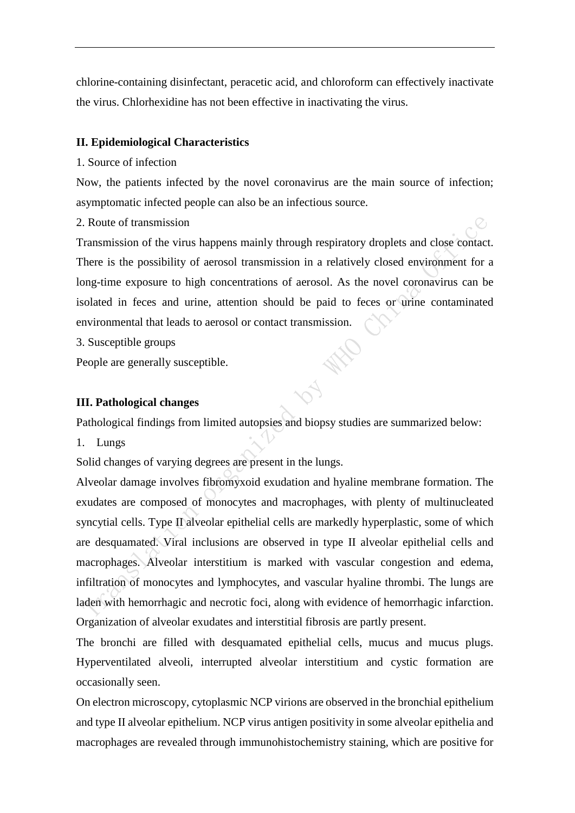chlorine-containing disinfectant, peracetic acid, and chloroform can effectively inactivate the virus. Chlorhexidine has not been effective in inactivating the virus.

#### **II. Epidemiological Characteristics**

#### 1. Source of infection

Now, the patients infected by the novel coronavirus are the main source of infection; asymptomatic infected people can also be an infectious source.

2. Route of transmission

Transmission of the virus happens mainly through respiratory droplets and close contact. There is the possibility of aerosol transmission in a relatively closed environment for a long-time exposure to high concentrations of aerosol. As the novel coronavirus can be isolated in feces and urine, attention should be paid to feces or urine contaminated environmental that leads to aerosol or contact transmission.

3. Susceptible groups

People are generally susceptible.

### **III. Pathological changes**

Pathological findings from limited autopsies and biopsy studies are summarized below:

1. Lungs

Solid changes of varying degrees are present in the lungs.

Alveolar damage involves fibromyxoid exudation and hyaline membrane formation. The exudates are composed of monocytes and macrophages, with plenty of multinucleated syncytial cells. Type II alveolar epithelial cells are markedly hyperplastic, some of which are desquamated. Viral inclusions are observed in type II alveolar epithelial cells and macrophages. Alveolar interstitium is marked with vascular congestion and edema, infiltration of monocytes and lymphocytes, and vascular hyaline thrombi. The lungs are laden with hemorrhagic and necrotic foci, along with evidence of hemorrhagic infarction. Organization of alveolar exudates and interstitial fibrosis are partly present.

The bronchi are filled with desquamated epithelial cells, mucus and mucus plugs. Hyperventilated alveoli, interrupted alveolar interstitium and cystic formation are occasionally seen.

On electron microscopy, cytoplasmic NCP virions are observed in the bronchial epithelium and type II alveolar epithelium. NCP virus antigen positivity in some alveolar epithelia and macrophages are revealed through immunohistochemistry staining, which are positive for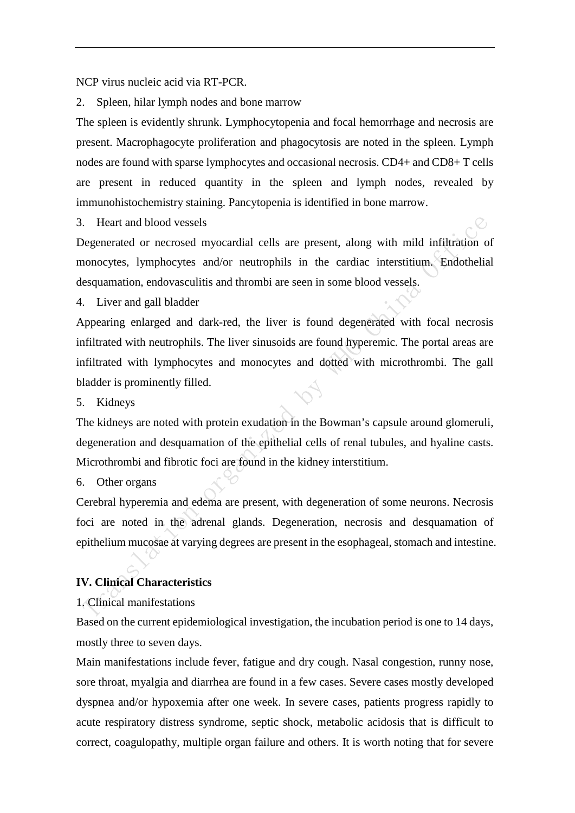NCP virus nucleic acid via RT-PCR.

2. Spleen, hilar lymph nodes and bone marrow

The spleen is evidently shrunk. Lymphocytopenia and focal hemorrhage and necrosis are present. Macrophagocyte proliferation and phagocytosis are noted in the spleen. Lymph nodes are found with sparse lymphocytes and occasional necrosis. CD4+ and CD8+ T cells are present in reduced quantity in the spleen and lymph nodes, revealed by immunohistochemistry staining. Pancytopenia is identified in bone marrow.

3. Heart and blood vessels

Degenerated or necrosed myocardial cells are present, along with mild infiltration of monocytes, lymphocytes and/or neutrophils in the cardiac interstitium. Endothelial desquamation, endovasculitis and thrombi are seen in some blood vessels.

4. Liver and gall bladder

Appearing enlarged and dark-red, the liver is found degenerated with focal necrosis infiltrated with neutrophils. The liver sinusoids are found hyperemic. The portal areas are infiltrated with lymphocytes and monocytes and dotted with microthrombi. The gall bladder is prominently filled.

5. Kidneys

The kidneys are noted with protein exudation in the Bowman's capsule around glomeruli, degeneration and desquamation of the epithelial cells of renal tubules, and hyaline casts. Microthrombi and fibrotic foci are found in the kidney interstitium.

6. Other organs

Cerebral hyperemia and edema are present, with degeneration of some neurons. Necrosis foci are noted in the adrenal glands. Degeneration, necrosis and desquamation of epithelium mucosae at varying degrees are present in the esophageal, stomach and intestine.

# **IV. Clinical Characteristics**

#### 1. Clinical manifestations

Based on the current epidemiological investigation, the incubation period is one to 14 days, mostly three to seven days.

Main manifestations include fever, fatigue and dry cough. Nasal congestion, runny nose, sore throat, myalgia and diarrhea are found in a few cases. Severe cases mostly developed dyspnea and/or hypoxemia after one week. In severe cases, patients progress rapidly to acute respiratory distress syndrome, septic shock, metabolic acidosis that is difficult to correct, coagulopathy, multiple organ failure and others. It is worth noting that for severe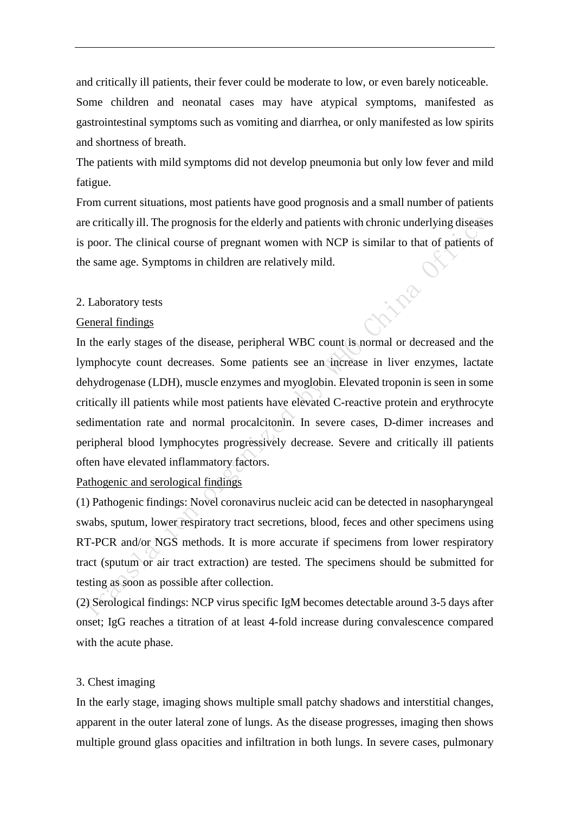and critically ill patients, their fever could be moderate to low, or even barely noticeable. Some children and neonatal cases may have atypical symptoms, manifested as gastrointestinal symptoms such as vomiting and diarrhea, or only manifested as low spirits and shortness of breath.

The patients with mild symptoms did not develop pneumonia but only low fever and mild fatigue.

From current situations, most patients have good prognosis and a small number of patients are critically ill. The prognosis for the elderly and patients with chronic underlying diseases is poor. The clinical course of pregnant women with NCP is similar to that of patients of the same age. Symptoms in children are relatively mild.

#### 2. Laboratory tests

#### General findings

In the early stages of the disease, peripheral WBC count is normal or decreased and the lymphocyte count decreases. Some patients see an increase in liver enzymes, lactate dehydrogenase (LDH), muscle enzymes and myoglobin. Elevated troponin is seen in some critically ill patients while most patients have elevated C-reactive protein and erythrocyte sedimentation rate and normal procalcitonin. In severe cases, D-dimer increases and peripheral blood lymphocytes progressively decrease. Severe and critically ill patients often have elevated inflammatory factors.

Pathogenic and serological findings

(1) Pathogenic findings: Novel coronavirus nucleic acid can be detected in nasopharyngeal swabs, sputum, lower respiratory tract secretions, blood, feces and other specimens using RT-PCR and/or NGS methods. It is more accurate if specimens from lower respiratory tract (sputum or air tract extraction) are tested. The specimens should be submitted for testing as soon as possible after collection.

(2) Serological findings: NCP virus specific IgM becomes detectable around 3-5 days after onset; IgG reaches a titration of at least 4-fold increase during convalescence compared with the acute phase.

#### 3. Chest imaging

In the early stage, imaging shows multiple small patchy shadows and interstitial changes, apparent in the outer lateral zone of lungs. As the disease progresses, imaging then shows multiple ground glass opacities and infiltration in both lungs. In severe cases, pulmonary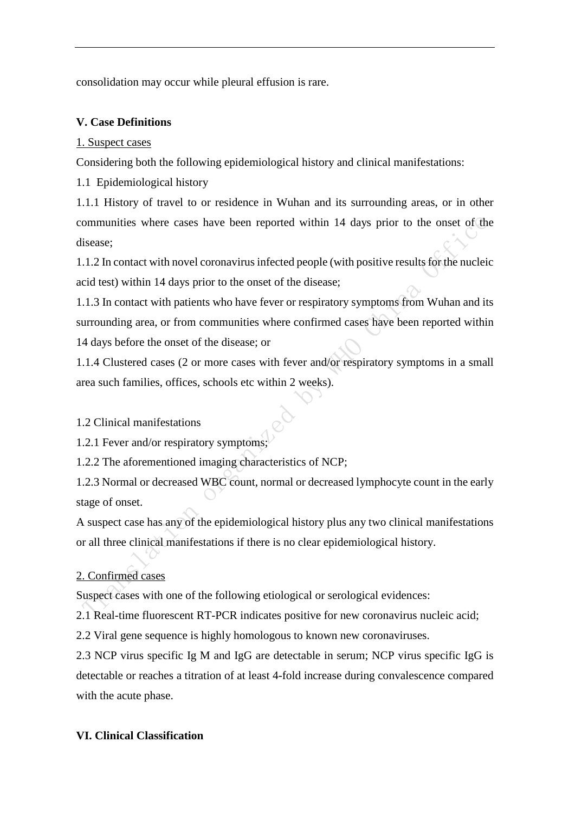consolidation may occur while pleural effusion is rare.

# **V. Case Definitions**

# 1. Suspect cases

Considering both the following epidemiological history and clinical manifestations:

1.1 Epidemiological history

1.1.1 History of travel to or residence in Wuhan and its surrounding areas, or in other communities where cases have been reported within 14 days prior to the onset of the disease;

1.1.2 In contact with novel coronavirus infected people (with positive results for the nucleic acid test) within 14 days prior to the onset of the disease;

1.1.3 In contact with patients who have fever or respiratory symptoms from Wuhan and its surrounding area, or from communities where confirmed cases have been reported within 14 days before the onset of the disease; or

1.1.4 Clustered cases (2 or more cases with fever and/or respiratory symptoms in a small area such families, offices, schools etc within 2 weeks).

# 1.2 Clinical manifestations

1.2.1 Fever and/or respiratory symptoms;

1.2.2 The aforementioned imaging characteristics of NCP;

1.2.3 Normal or decreased WBC count, normal or decreased lymphocyte count in the early stage of onset.

A suspect case has any of the epidemiological history plus any two clinical manifestations or all three clinical manifestations if there is no clear epidemiological history.

# 2. Confirmed cases

Suspect cases with one of the following etiological or serological evidences:

2.1 Real-time fluorescent RT-PCR indicates positive for new coronavirus nucleic acid;

2.2 Viral gene sequence is highly homologous to known new coronaviruses.

2.3 NCP virus specific Ig M and IgG are detectable in serum; NCP virus specific IgG is detectable or reaches a titration of at least 4-fold increase during convalescence compared with the acute phase.

# **VI. Clinical Classification**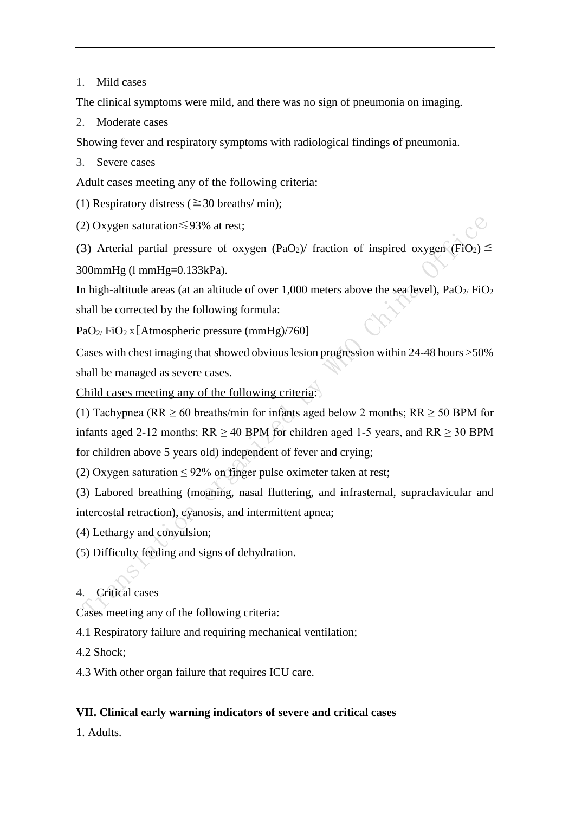# 1. Mild cases

The clinical symptoms were mild, and there was no sign of pneumonia on imaging.

2. Moderate cases

Showing fever and respiratory symptoms with radiological findings of pneumonia.

3. Severe cases

Adult cases meeting any of the following criteria:

(1) Respiratory distress ( $\geq$  30 breaths/ min);

(2) Oxygen saturation≤93% at rest;

(3) Arterial partial pressure of oxygen (PaO<sub>2</sub>)/ fraction of inspired oxygen (FiO<sub>2</sub>)  $\leq$ 

300mmHg (l mmHg=0.133kPa).

In high-altitude areas (at an altitude of over 1,000 meters above the sea level),  $PaO<sub>2</sub>/FiO<sub>2</sub>$ shall be corrected by the following formula:

PaO<sub>2</sub>/ FiO<sub>2</sub> x[Atmospheric pressure (mmHg)/760]

Cases with chest imaging that showed obvious lesion progression within  $24-48$  hours  $>50\%$ shall be managed as severe cases.

Child cases meeting any of the following criteria:

(1) Tachypnea (RR  $\geq$  60 breaths/min for infants aged below 2 months; RR  $\geq$  50 BPM for infants aged 2-12 months;  $RR \ge 40$  BPM for children aged 1-5 years, and  $RR \ge 30$  BPM for children above 5 years old) independent of fever and crying;

(2) Oxygen saturation  $\leq 92\%$  on finger pulse oximeter taken at rest;

(3) Labored breathing (moaning, nasal fluttering, and infrasternal, supraclavicular and intercostal retraction), cyanosis, and intermittent apnea;

(4) Lethargy and convulsion;

- (5) Difficulty feeding and signs of dehydration.
- 4. Critical cases

Cases meeting any of the following criteria:

4.1 Respiratory failure and requiring mechanical ventilation;

4.2 Shock;

4.3 With other organ failure that requires ICU care.

# **VII. Clinical early warning indicators of severe and critical cases**

1. Adults.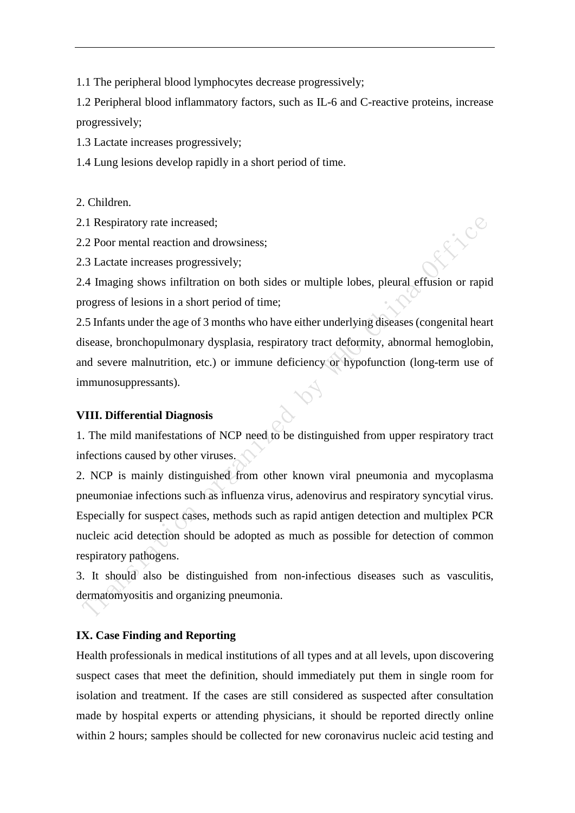1.1 The peripheral blood lymphocytes decrease progressively;

1.2 Peripheral blood inflammatory factors, such as IL-6 and C-reactive proteins, increase progressively;

1.3 Lactate increases progressively;

1.4 Lung lesions develop rapidly in a short period of time.

2. Children.

2.1 Respiratory rate increased;

2.2 Poor mental reaction and drowsiness;

2.3 Lactate increases progressively;

2.4 Imaging shows infiltration on both sides or multiple lobes, pleural effusion or rapid progress of lesions in a short period of time;

File

2.5 Infants under the age of 3 months who have either underlying diseases (congenital heart disease, bronchopulmonary dysplasia, respiratory tract deformity, abnormal hemoglobin, and severe malnutrition, etc.) or immune deficiency or hypofunction (long-term use of immunosuppressants).

# **VIII. Differential Diagnosis**

1. The mild manifestations of NCP need to be distinguished from upper respiratory tract infections caused by other viruses.

2. NCP is mainly distinguished from other known viral pneumonia and mycoplasma pneumoniae infections such as influenza virus, adenovirus and respiratory syncytial virus. Especially for suspect cases, methods such as rapid antigen detection and multiplex PCR nucleic acid detection should be adopted as much as possible for detection of common respiratory pathogens.

3. It should also be distinguished from non-infectious diseases such as vasculitis, dermatomyositis and organizing pneumonia.

# **IX. Case Finding and Reporting**

Health professionals in medical institutions of all types and at all levels, upon discovering suspect cases that meet the definition, should immediately put them in single room for isolation and treatment. If the cases are still considered as suspected after consultation made by hospital experts or attending physicians, it should be reported directly online within 2 hours; samples should be collected for new coronavirus nucleic acid testing and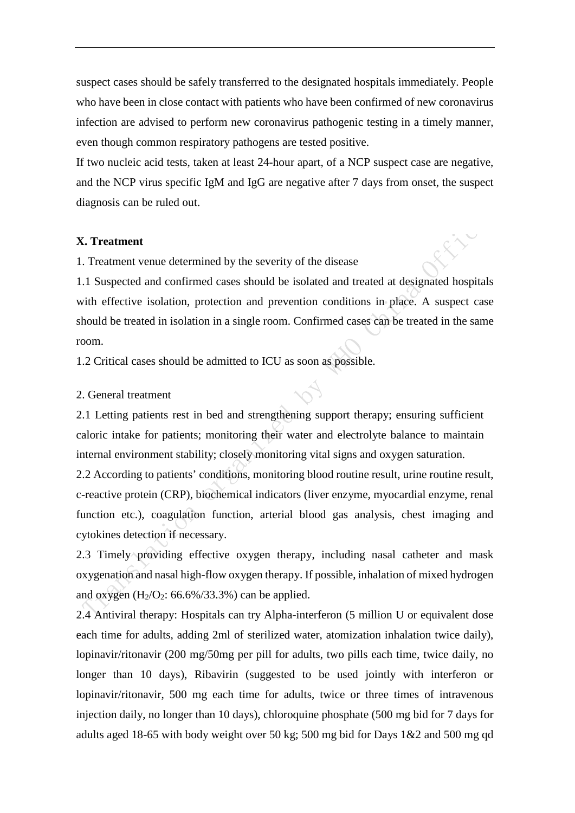suspect cases should be safely transferred to the designated hospitals immediately. People who have been in close contact with patients who have been confirmed of new coronavirus infection are advised to perform new coronavirus pathogenic testing in a timely manner, even though common respiratory pathogens are tested positive.

If two nucleic acid tests, taken at least 24-hour apart, of a NCP suspect case are negative, and the NCP virus specific IgM and IgG are negative after 7 days from onset, the suspect diagnosis can be ruled out.

#### **X. Treatment**

1. Treatment venue determined by the severity of the disease

1.1 Suspected and confirmed cases should be isolated and treated at designated hospitals with effective isolation, protection and prevention conditions in place. A suspect case should be treated in isolation in a single room. Confirmed cases can be treated in the same room.

1.2 Critical cases should be admitted to ICU as soon as possible.

#### 2. General treatment

2.1 Letting patients rest in bed and strengthening support therapy; ensuring sufficient caloric intake for patients; monitoring their water and electrolyte balance to maintain internal environment stability; closely monitoring vital signs and oxygen saturation.

2.2 According to patients' conditions, monitoring blood routine result, urine routine result, c-reactive protein (CRP), biochemical indicators (liver enzyme, myocardial enzyme, renal function etc.), coagulation function, arterial blood gas analysis, chest imaging and cytokines detection if necessary.

2.3 Timely providing effective oxygen therapy, including nasal catheter and mask oxygenation and nasal high-flow oxygen therapy. If possible, inhalation of mixed hydrogen and oxygen  $(H_2/O_2: 66.6\%/33.3\%)$  can be applied.

2.4 Antiviral therapy: Hospitals can try Alpha-interferon (5 million U or equivalent dose each time for adults, adding 2ml of sterilized water, atomization inhalation twice daily), lopinavir/ritonavir (200 mg/50mg per pill for adults, two pills each time, twice daily, no longer than 10 days), Ribavirin (suggested to be used jointly with interferon or lopinavir/ritonavir, 500 mg each time for adults, twice or three times of intravenous injection daily, no longer than 10 days), chloroquine phosphate (500 mg bid for 7 days for adults aged 18-65 with body weight over 50 kg; 500 mg bid for Days 1&2 and 500 mg qd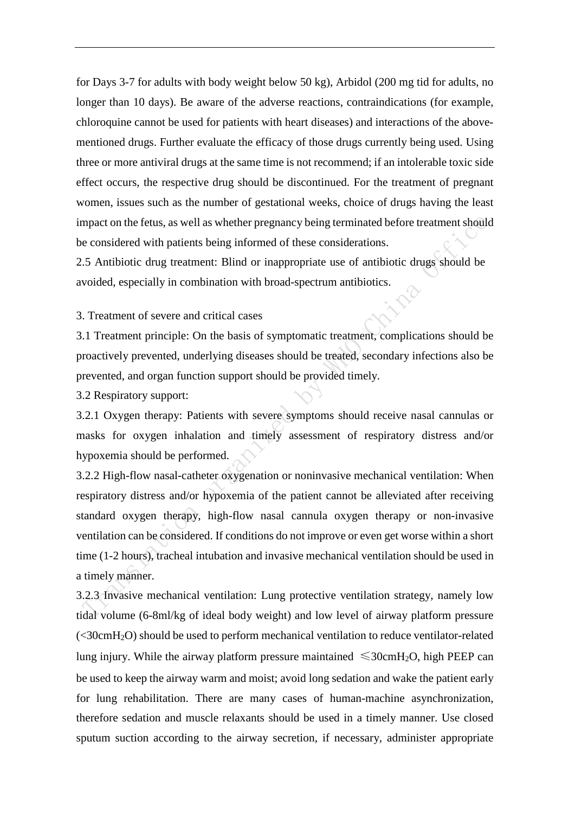for Days 3-7 for adults with body weight below 50 kg), Arbidol (200 mg tid for adults, no longer than 10 days). Be aware of the adverse reactions, contraindications (for example, chloroquine cannot be used for patients with heart diseases) and interactions of the abovementioned drugs. Further evaluate the efficacy of those drugs currently being used. Using three or more antiviral drugs at the same time is not recommend; if an intolerable toxic side effect occurs, the respective drug should be discontinued. For the treatment of pregnant women, issues such as the number of gestational weeks, choice of drugs having the least impact on the fetus, as well as whether pregnancy being terminated before treatment should be considered with patients being informed of these considerations.

2.5 Antibiotic drug treatment: Blind or inappropriate use of antibiotic drugs should be avoided, especially in combination with broad-spectrum antibiotics.

# 3. Treatment of severe and critical cases

3.1 Treatment principle: On the basis of symptomatic treatment, complications should be proactively prevented, underlying diseases should be treated, secondary infections also be prevented, and organ function support should be provided timely.

3.2 Respiratory support:

3.2.1 Oxygen therapy: Patients with severe symptoms should receive nasal cannulas or masks for oxygen inhalation and timely assessment of respiratory distress and/or hypoxemia should be performed.

3.2.2 High-flow nasal-catheter oxygenation or noninvasive mechanical ventilation: When respiratory distress and/or hypoxemia of the patient cannot be alleviated after receiving standard oxygen therapy, high-flow nasal cannula oxygen therapy or non-invasive ventilation can be considered. If conditions do not improve or even get worse within a short time (1-2 hours), tracheal intubation and invasive mechanical ventilation should be used in a timely manner.

3.2.3 Invasive mechanical ventilation: Lung protective ventilation strategy, namely low tidal volume (6-8ml/kg of ideal body weight) and low level of airway platform pressure (<30cmH2O) should be used to perform mechanical ventilation to reduce ventilator-related lung injury. While the airway platform pressure maintained  $\leq 30 \text{cm}H_2O$ , high PEEP can be used to keep the airway warm and moist; avoid long sedation and wake the patient early for lung rehabilitation. There are many cases of human-machine asynchronization, therefore sedation and muscle relaxants should be used in a timely manner. Use closed sputum suction according to the airway secretion, if necessary, administer appropriate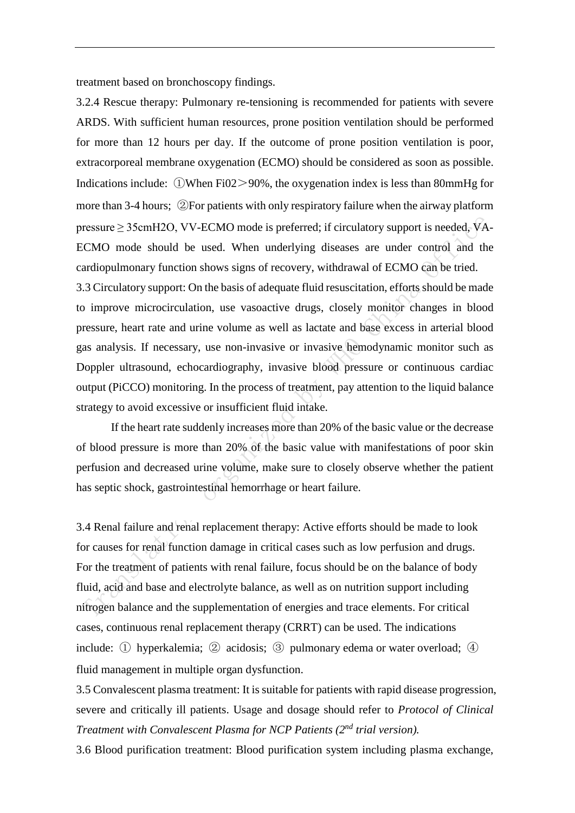treatment based on bronchoscopy findings.

3.2.4 Rescue therapy: Pulmonary re-tensioning is recommended for patients with severe ARDS. With sufficient human resources, prone position ventilation should be performed for more than 12 hours per day. If the outcome of prone position ventilation is poor, extracorporeal membrane oxygenation (ECMO) should be considered as soon as possible. Indications include: ①When Fi02>90%, the oxygenation index is less than 80mmHg for more than 3-4 hours; ②For patients with only respiratory failure when the airway platform pressure ≥ 35cmH2O, VV-ECMO mode is preferred; if circulatory support is needed, VA-ECMO mode should be used. When underlying diseases are under control and the cardiopulmonary function shows signs of recovery, withdrawal of ECMO can be tried. 3.3 Circulatory support: On the basis of adequate fluid resuscitation, efforts should be made

to improve microcirculation, use vasoactive drugs, closely monitor changes in blood pressure, heart rate and urine volume as well as lactate and base excess in arterial blood gas analysis. If necessary, use non-invasive or invasive hemodynamic monitor such as Doppler ultrasound, echocardiography, invasive blood pressure or continuous cardiac output (PiCCO) monitoring. In the process of treatment, pay attention to the liquid balance strategy to avoid excessive or insufficient fluid intake.

If the heart rate suddenly increases more than 20% of the basic value or the decrease of blood pressure is more than 20% of the basic value with manifestations of poor skin perfusion and decreased urine volume, make sure to closely observe whether the patient has septic shock, gastrointestinal hemorrhage or heart failure.

3.4 Renal failure and renal replacement therapy: Active efforts should be made to look for causes for renal function damage in critical cases such as low perfusion and drugs. For the treatment of patients with renal failure, focus should be on the balance of body fluid, acid and base and electrolyte balance, as well as on nutrition support including nitrogen balance and the supplementation of energies and trace elements. For critical cases, continuous renal replacement therapy (CRRT) can be used. The indications include: ① hyperkalemia; ② acidosis; ③ pulmonary edema or water overload; ④ fluid management in multiple organ dysfunction.

3.5 Convalescent plasma treatment: It is suitable for patients with rapid disease progression, severe and critically ill patients. Usage and dosage should refer to *Protocol of Clinical Treatment with Convalescent Plasma for NCP Patients (2nd trial version).*

3.6 Blood purification treatment: Blood purification system including plasma exchange,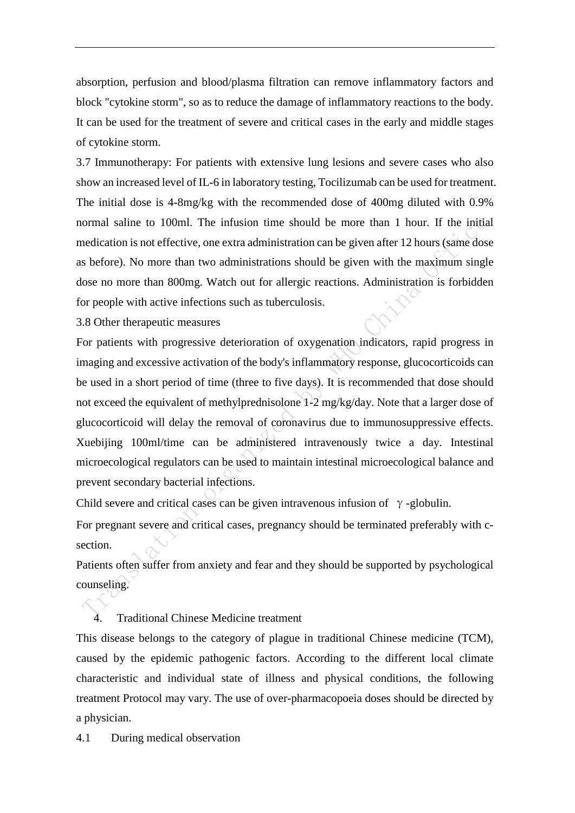absorption, perfusion and blood/plasma filtration can remove inflammatory factors and block "cytokine storm", so as to reduce the damage of inflammatory reactions to the body. It can be used for the treatment of severe and critical cases in the early and middle stages of cytokine storm.

3.7 Immunotherapy: For patients with extensive lung lesions and severe cases who also show an increased level of IL-6 in laboratory testing, Tocilizumab can be used for treatment. The initial dose is 4-8mg/kg with the recommended dose of 400mg diluted with 0.9% normal saline to 100ml. The infusion time should be more than 1 hour. If the initial medication is not effective, one extra administration can be given after 12 hours (same dose as before). No more than two administrations should be given with the maximum single dose no more than 800mg. Watch out for allergic reactions. Administration is forbidden for people with active infections such as tuberculosis.

3.8 Other therapeutic measures

For patients with progressive deterioration of oxygenation indicators, rapid progress in imaging and excessive activation of the body's inflammatory response, glucocorticoids can be used in a short period of time (three to five days). It is recommended that dose should not exceed the equivalent of methylprednisolone 1-2 mg/kg/day. Note that a larger dose of glucocorticoid will delay the removal of coronavirus due to immunosuppressive effects. Xuebijing 100ml/time can be administered intravenously twice a day. Intestinal microecological regulators can be used to maintain intestinal microecological balance and prevent secondary bacterial infections.

Child severe and critical cases can be given intravenous infusion of  $\gamma$ -globulin.

For pregnant severe and critical cases, pregnancy should be terminated preferably with csection.

Patients often suffer from anxiety and fear and they should be supported by psychological counseling.

4. Traditional Chinese Medicine treatment

This disease belongs to the category of plague in traditional Chinese medicine (TCM), caused by the epidemic pathogenic factors. According to the different local climate characteristic and individual state of illness and physical conditions, the following treatment Protocol may vary. The use of over-pharmacopoeia doses should be directed by a physician.

4.1 During medical observation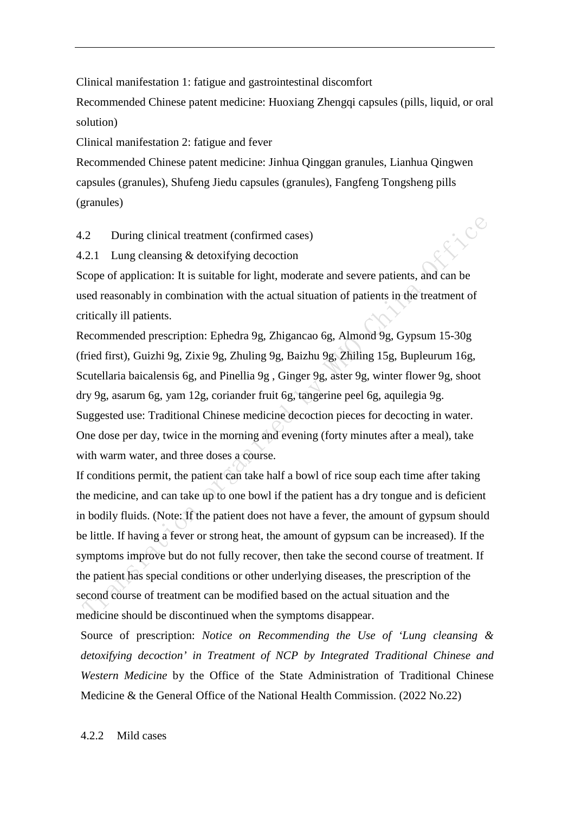Clinical manifestation 1: fatigue and gastrointestinal discomfort

Recommended Chinese patent medicine: Huoxiang Zhengqi capsules (pills, liquid, or oral solution)

Clinical manifestation 2: fatigue and fever

Recommended Chinese patent medicine: Jinhua Qinggan granules, Lianhua Qingwen capsules (granules), Shufeng Jiedu capsules (granules), Fangfeng Tongsheng pills (granules)

4.2 During clinical treatment (confirmed cases)

4.2.1 Lung cleansing & detoxifying decoction

Scope of application: It is suitable for light, moderate and severe patients, and can be used reasonably in combination with the actual situation of patients in the treatment of critically ill patients.

Eizce

Recommended prescription: Ephedra 9g, Zhigancao 6g, Almond 9g, Gypsum 15-30g (fried first), Guizhi 9g, Zixie 9g, Zhuling 9g, Baizhu 9g, Zhiling 15g, Bupleurum 16g, Scutellaria baicalensis 6g, and Pinellia 9g , Ginger 9g, aster 9g, winter flower 9g, shoot dry 9g, asarum 6g, yam 12g, coriander fruit 6g, tangerine peel 6g, aquilegia 9g. Suggested use: Traditional Chinese medicine decoction pieces for decocting in water. One dose per day, twice in the morning and evening (forty minutes after a meal), take with warm water, and three doses a course.

If conditions permit, the patient can take half a bowl of rice soup each time after taking the medicine, and can take up to one bowl if the patient has a dry tongue and is deficient in bodily fluids. (Note: If the patient does not have a fever, the amount of gypsum should be little. If having a fever or strong heat, the amount of gypsum can be increased). If the symptoms improve but do not fully recover, then take the second course of treatment. If the patient has special conditions or other underlying diseases, the prescription of the second course of treatment can be modified based on the actual situation and the medicine should be discontinued when the symptoms disappear.

Source of prescription: *Notice on Recommending the Use of 'Lung cleansing & detoxifying decoction' in Treatment of NCP by Integrated Traditional Chinese and Western Medicine* by the Office of the State Administration of Traditional Chinese Medicine & the General Office of the National Health Commission. (2022 No.22)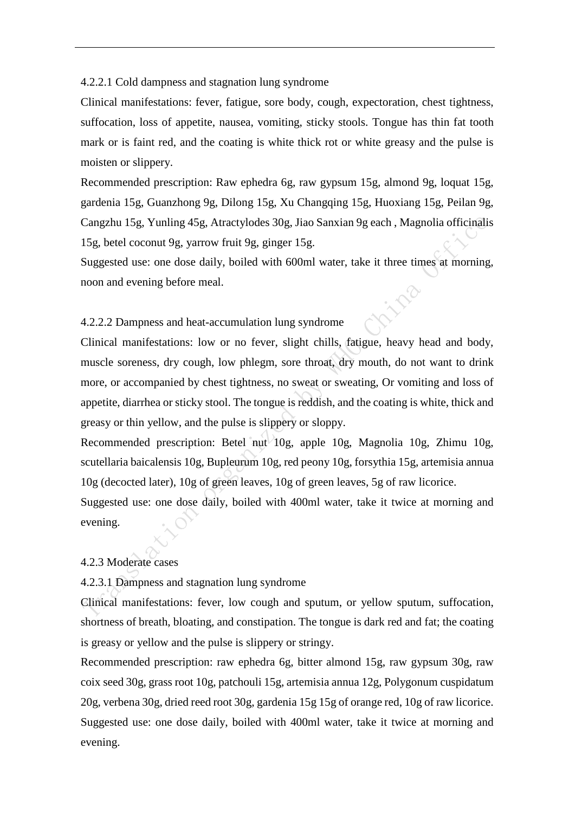4.2.2.1 Cold dampness and stagnation lung syndrome

Clinical manifestations: fever, fatigue, sore body, cough, expectoration, chest tightness, suffocation, loss of appetite, nausea, vomiting, sticky stools. Tongue has thin fat tooth mark or is faint red, and the coating is white thick rot or white greasy and the pulse is moisten or slippery.

Recommended prescription: Raw ephedra 6g, raw gypsum 15g, almond 9g, loquat 15g, gardenia 15g, Guanzhong 9g, Dilong 15g, Xu Changqing 15g, Huoxiang 15g, Peilan 9g, Cangzhu 15g, Yunling 45g, Atractylodes 30g, Jiao Sanxian 9g each , Magnolia officinalis 15g, betel coconut 9g, yarrow fruit 9g, ginger 15g.

Suggested use: one dose daily, boiled with 600ml water, take it three times at morning, noon and evening before meal.

4.2.2.2 Dampness and heat-accumulation lung syndrome

Clinical manifestations: low or no fever, slight chills, fatigue, heavy head and body, muscle soreness, dry cough, low phlegm, sore throat, dry mouth, do not want to drink more, or accompanied by chest tightness, no sweat or sweating, Or vomiting and loss of appetite, diarrhea or sticky stool. The tongue is reddish, and the coating is white, thick and greasy or thin yellow, and the pulse is slippery or sloppy.

Recommended prescription: Betel nut 10g, apple 10g, Magnolia 10g, Zhimu 10g, scutellaria baicalensis 10g, Bupleurum 10g, red peony 10g, forsythia 15g, artemisia annua 10g (decocted later), 10g of green leaves, 10g of green leaves, 5g of raw licorice.

Suggested use: one dose daily, boiled with 400ml water, take it twice at morning and evening.

# 4.2.3 Moderate cases

4.2.3.1 Dampness and stagnation lung syndrome

Clinical manifestations: fever, low cough and sputum, or yellow sputum, suffocation, shortness of breath, bloating, and constipation. The tongue is dark red and fat; the coating is greasy or yellow and the pulse is slippery or stringy.

Recommended prescription: raw ephedra 6g, bitter almond 15g, raw gypsum 30g, raw coix seed 30g, grass root 10g, patchouli 15g, artemisia annua 12g, Polygonum cuspidatum 20g, verbena 30g, dried reed root 30g, gardenia 15g 15g of orange red, 10g of raw licorice. Suggested use: one dose daily, boiled with 400ml water, take it twice at morning and evening.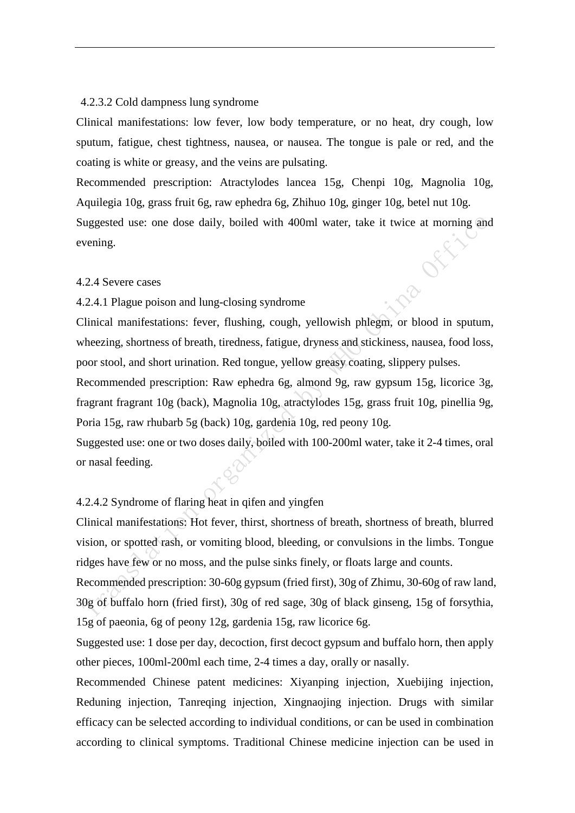#### 4.2.3.2 Cold dampness lung syndrome

Clinical manifestations: low fever, low body temperature, or no heat, dry cough, low sputum, fatigue, chest tightness, nausea, or nausea. The tongue is pale or red, and the coating is white or greasy, and the veins are pulsating.

Recommended prescription: Atractylodes lancea 15g, Chenpi 10g, Magnolia 10g, Aquilegia 10g, grass fruit 6g, raw ephedra 6g, Zhihuo 10g, ginger 10g, betel nut 10g. Suggested use: one dose daily, boiled with 400ml water, take it twice at morning and na Offi evening.

#### 4.2.4 Severe cases

4.2.4.1 Plague poison and lung-closing syndrome

Clinical manifestations: fever, flushing, cough, yellowish phlegm, or blood in sputum, wheezing, shortness of breath, tiredness, fatigue, dryness and stickiness, nausea, food loss, poor stool, and short urination. Red tongue, yellow greasy coating, slippery pulses.

Recommended prescription: Raw ephedra 6g, almond 9g, raw gypsum 15g, licorice 3g, fragrant fragrant 10g (back), Magnolia 10g, atractylodes 15g, grass fruit 10g, pinellia 9g, Poria 15g, raw rhubarb 5g (back) 10g, gardenia 10g, red peony 10g.

Suggested use: one or two doses daily, boiled with 100-200ml water, take it 2-4 times, oral or nasal feeding.

# 4.2.4.2 Syndrome of flaring heat in qifen and yingfen

Clinical manifestations: Hot fever, thirst, shortness of breath, shortness of breath, blurred vision, or spotted rash, or vomiting blood, bleeding, or convulsions in the limbs. Tongue ridges have few or no moss, and the pulse sinks finely, or floats large and counts.

Recommended prescription: 30-60g gypsum (fried first), 30g of Zhimu, 30-60g of raw land, 30g of buffalo horn (fried first), 30g of red sage, 30g of black ginseng, 15g of forsythia, 15g of paeonia, 6g of peony 12g, gardenia 15g, raw licorice 6g.

Suggested use: 1 dose per day, decoction, first decoct gypsum and buffalo horn, then apply other pieces, 100ml-200ml each time, 2-4 times a day, orally or nasally.

Recommended Chinese patent medicines: Xiyanping injection, Xuebijing injection, Reduning injection, Tanreqing injection, Xingnaojing injection. Drugs with similar efficacy can be selected according to individual conditions, or can be used in combination according to clinical symptoms. Traditional Chinese medicine injection can be used in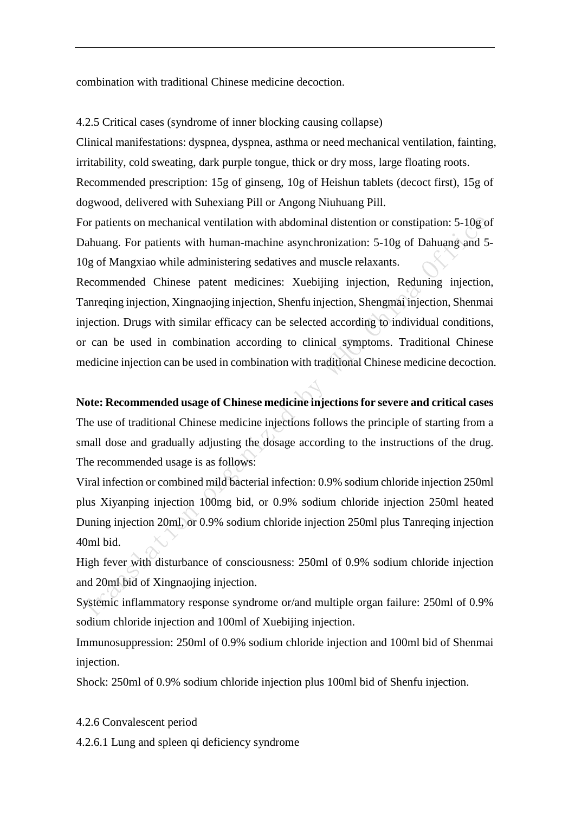combination with traditional Chinese medicine decoction.

4.2.5 Critical cases (syndrome of inner blocking causing collapse)

Clinical manifestations: dyspnea, dyspnea, asthma or need mechanical ventilation, fainting, irritability, cold sweating, dark purple tongue, thick or dry moss, large floating roots.

Recommended prescription: 15g of ginseng, 10g of Heishun tablets (decoct first), 15g of dogwood, delivered with Suhexiang Pill or Angong Niuhuang Pill.

For patients on mechanical ventilation with abdominal distention or constipation: 5-10g of Dahuang. For patients with human-machine asynchronization: 5-10g of Dahuang and 5- 10g of Mangxiao while administering sedatives and muscle relaxants.

Recommended Chinese patent medicines: Xuebijing injection, Reduning injection, Tanreqing injection, Xingnaojing injection, Shenfu injection, Shengmai injection, Shenmai injection. Drugs with similar efficacy can be selected according to individual conditions, or can be used in combination according to clinical symptoms. Traditional Chinese medicine injection can be used in combination with traditional Chinese medicine decoction.

#### **Note: Recommended usage of Chinese medicine injectionsfor severe and critical cases**

The use of traditional Chinese medicine injections follows the principle of starting from a small dose and gradually adjusting the dosage according to the instructions of the drug. The recommended usage is as follows:

Viral infection or combined mild bacterial infection: 0.9% sodium chloride injection 250ml plus Xiyanping injection 100mg bid, or 0.9% sodium chloride injection 250ml heated Duning injection 20ml, or 0.9% sodium chloride injection 250ml plus Tanreqing injection 40ml bid.

High fever with disturbance of consciousness: 250ml of 0.9% sodium chloride injection and 20ml bid of Xingnaojing injection.

Systemic inflammatory response syndrome or/and multiple organ failure: 250ml of 0.9% sodium chloride injection and 100ml of Xuebijing injection.

Immunosuppression: 250ml of 0.9% sodium chloride injection and 100ml bid of Shenmai injection.

Shock: 250ml of 0.9% sodium chloride injection plus 100ml bid of Shenfu injection.

#### 4.2.6 Convalescent period

4.2.6.1 Lung and spleen qi deficiency syndrome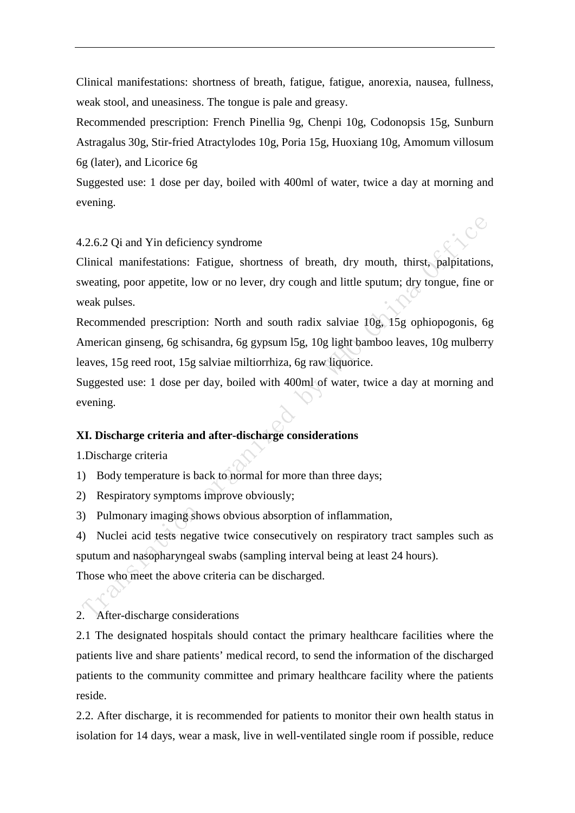Clinical manifestations: shortness of breath, fatigue, fatigue, anorexia, nausea, fullness, weak stool, and uneasiness. The tongue is pale and greasy.

Recommended prescription: French Pinellia 9g, Chenpi 10g, Codonopsis 15g, Sunburn Astragalus 30g, Stir-fried Atractylodes 10g, Poria 15g, Huoxiang 10g, Amomum villosum 6g (later), and Licorice 6g

Suggested use: 1 dose per day, boiled with 400ml of water, twice a day at morning and evening.

 $\mathcal{C}^{\mathcal{C}}$ 

#### 4.2.6.2 Qi and Yin deficiency syndrome

Clinical manifestations: Fatigue, shortness of breath, dry mouth, thirst, palpitations, sweating, poor appetite, low or no lever, dry cough and little sputum; dry tongue, fine or weak pulses.

Recommended prescription: North and south radix salviae 10g, 15g ophiopogonis, 6g American ginseng, 6g schisandra, 6g gypsum l5g, 10g light bamboo leaves, 10g mulberry leaves, 15g reed root, 15g salviae miltiorrhiza, 6g raw liquorice.

Suggested use: 1 dose per day, boiled with 400ml of water, twice a day at morning and evening.

#### **XI. Discharge criteria and after-discharge considerations**

1.Discharge criteria

1) Body temperature is back to normal for more than three days;

2) Respiratory symptoms improve obviously;

3) Pulmonary imaging shows obvious absorption of inflammation,

4) Nuclei acid tests negative twice consecutively on respiratory tract samples such as sputum and nasopharyngeal swabs (sampling interval being at least 24 hours). Those who meet the above criteria can be discharged.

2. After-discharge considerations

2.1 The designated hospitals should contact the primary healthcare facilities where the patients live and share patients' medical record, to send the information of the discharged patients to the community committee and primary healthcare facility where the patients reside.

2.2. After discharge, it is recommended for patients to monitor their own health status in isolation for 14 days, wear a mask, live in well-ventilated single room if possible, reduce